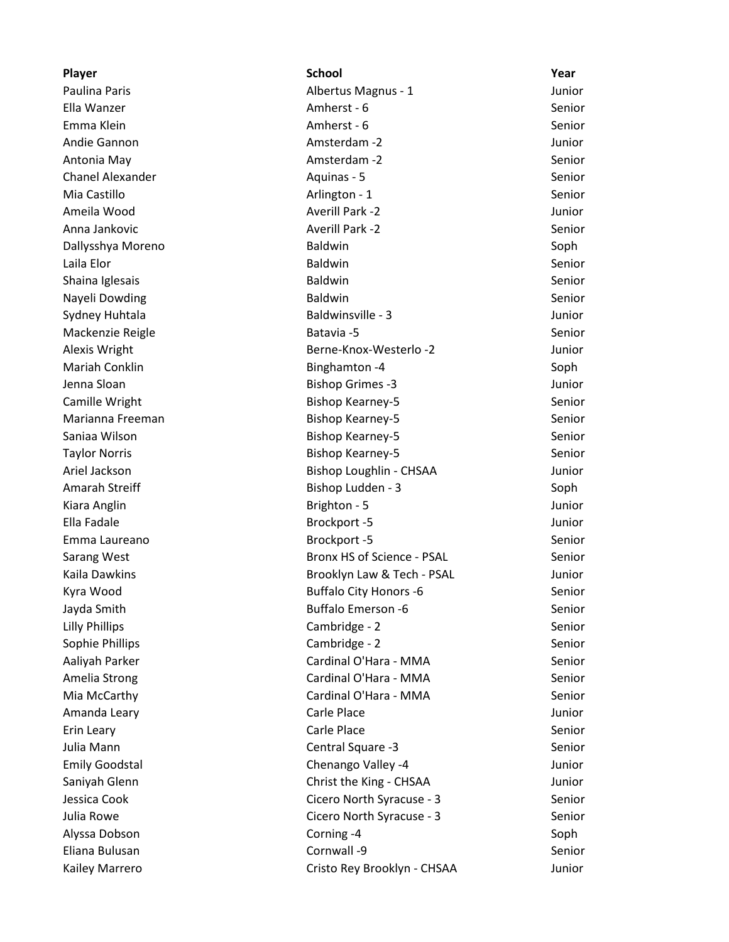**Player School Year** Paulina Paris **Albertus Magnus - 1** Junior Ella Wanzer **Amherst - 6** Senior **Amherst - 6** Senior Emma Klein and Amherst - 6 Senior Christian Amherst - 6 Senior Senior Andie Gannon and Amsterdam -2 Amsterdam -2 Junior Antonia May Amsterdam -2 Senior Chanel Alexander **Alexander** Aquinas - 5 Senior **Aguinas - 5** Senior Mia Castillo **Arlington - 1** Arlington - 1 Senior Ameila Wood Averill Park -2 Junior Anna Jankovic Averill Park -2 Senior Dallysshya Moreno Baldwin Soph Laila Elor Senior (Senior Baldwin Senior Senior Senior Senior Senior Senior Senior Senior Senior Senior Senior Shaina Iglesais **Shaina Iglesais** Senior Channel Baldwin Senior Senior Senior Nayeli Dowding The Communication of Baldwin Senior Senior Senior Senior Senior Senior Sydney Huhtala **Baldwinsville - 3** Junior Mackenzie Reigle and Batavia -5 Senior Batavia -5 Senior Batavia -6 Senior Batavia -6 Senior Alexis Wright Berne-Knox-Westerlo -2 Junior Mariah Conklin **Binghamton -4** Soph Binghamton -4 Soph Jenna Sloan Bishop Grimes -3 Junior Camille Wright **Bishop Kearney-5** Senior Bishop Kearney-5 Marianna Freeman Bishop Kearney-5 Senior Saniaa Wilson Sanior Senior Bishop Kearney-5 Senior Senior Senior Senior Senior Senior Senior Senior Senior Se Taylor Norris Bishop Kearney-5 Senior Ariel Jackson Bishop Loughlin - CHSAA Junior Amarah Streiff **Bishop Ludden - 3** Soph Kiara Anglin North Communication Communication Brighton - 5 Junior Studies and Munior Ella Fadale **Brockport -5** Junior Emma Laureano Brockport -5 Senior Sarang West **Bronx HS** of Science - PSAL Senior Kaila Dawkins **Brooklyn Law & Tech - PSAL** Junior Kyra Wood **Buffalo City Honors -6** Senior Jayda Smith Buffalo Emerson -6 Senior Lilly Phillips Cambridge - 2 Senior Sophie Phillips **Cambridge - 2** Senior Aaliyah Parker Naman Senior Cardinal O'Hara - MMA Senior Amelia Strong The Cardinal O'Hara - MMA Senior Mia McCarthy Cardinal O'Hara - MMA Senior Amanda Leary **Carle Place** Carle Place **Carle Place Junior** Erin Leary **Carle Place** Carle Place **Carle Place** Senior Julia Mann Central Square -3 Senior Emily Goodstal Chenango Valley -4 Junior Saniyah Glenn Christ the King - CHSAA Junior Jessica Cook Cicero North Syracuse - 3 Senior Julia Rowe Cicero North Syracuse - 3 Senior Alyssa Dobson Corning -4 Soph Corning -4 Soph Eliana Bulusan Cornwall -9 Senior Kailey Marrero **Cristo Rey Brooklyn - CHSAA** Junior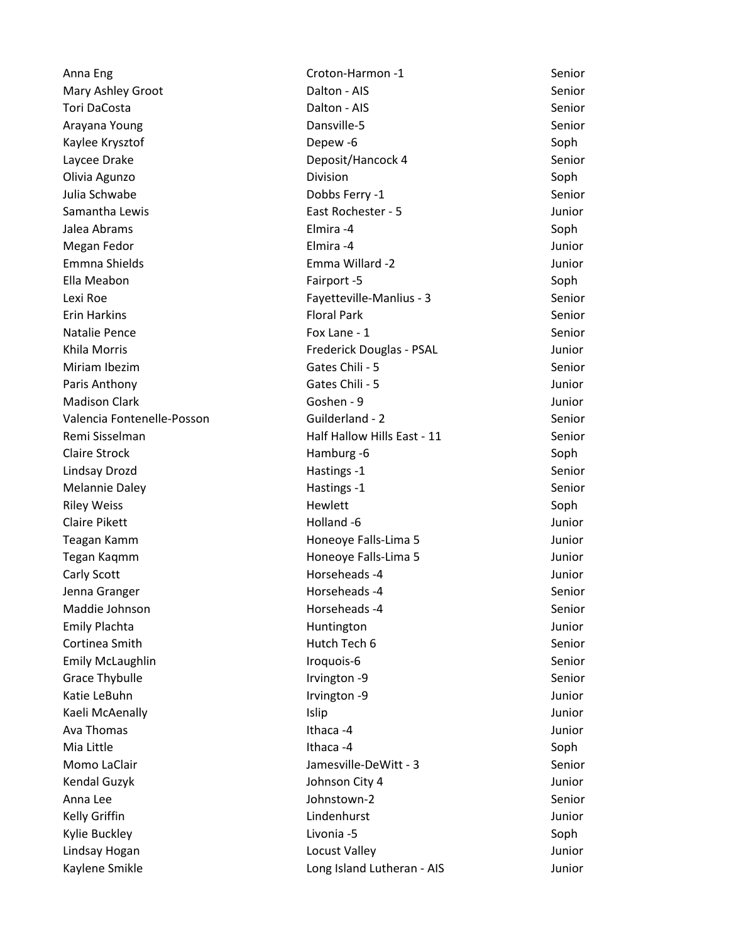Anna Eng Senior Croton-Harmon -1 Senior Senior Mary Ashley Groot **Nation 2018** Dalton - AIS **Senior** Senior Tori DaCosta **National Senior** Dalton - AIS **Senior** Senior Arayana Young National Communication of Dansville-5 National Communication of the Senior Kaylee Krysztof Depew -6 Soph Laycee Drake **Deposit/Hancock 4** Senior Olivia Agunzo **Division** Division **Division** Soph Julia Schwabe Dobbs Ferry -1 Senior Samantha Lewis East Rochester - 5 Junior Jalea Abrams Elmira -4 Soph Megan Fedor Elmira -4 Junior Emmna Shields Emma Willard -2 Junior Ella Meabon **Fairport -5** Soph Lexi Roe Fayetteville-Manlius - 3 Senior Erin Harkins Floral Park Senior Natalie Pence **Fox Lane - 1** Senior **Fox Lane - 1** Senior Khila Morris **Frederick Douglas - PSAL** Junior Miriam Ibezim Gates Chili - 5 Senior Chili - 5 Senior Senior Senior Senior Senior Senior Senior Senior Senior Paris Anthony **Called Anti-Structure Control** Gates Chili - 5 *Junior* Junior Madison Clark Goshen - 9 Junior Clark Goshen - 9 Junior Clark Junior Clark Junior Valencia Fontenelle-Posson Guilderland - 2 Senior Remi Sisselman **Half Hallow Hills East - 11** Senior Claire Strock **Hamburg -6** Soph Soph Lindsay Drozd **National Hastings -1** Senior Hastings -1 Senior Senior Senior Senior Senior Senior Senior Senior Melannie Daley **Melannie Daley For the Contract of the Hastings -1** Senior Senior Riley Weiss **Example 20** Soph Hewlett **Soph** Claire Pikett **Holland -6** Junior Holland -6 Junior Annual Media and Holland -6 Junior Teagan Kamm **Honeoye Falls-Lima 5** Junior Tegan Kaqmm **Honeoye Falls-Lima 5** Junior Carly Scott **Horseheads -4** Junior Jenna Granger North Communications of Horseheads -4 Senior Senior Maddie Johnson **Maddie Johnson** Horseheads -4 Senior Emily Plachta **Huntington** Huntington **Huntington** Huntington Junior **Cortinea Smith Cortinea Smith Hutch Tech 6** Senior Emily McLaughlin **Emily McLaughlin** Senior Communist Communist Communist Communist Communist Communist Communist Communist Communist Communist Communist Communist Communist Communist Communist Communist Communist Communist Grace Thybulle **Internal Community** Controller Irvington -9 Senior Community Community Community Community Community Katie LeBuhn Irvington -9 Junior Kaeli McAenally **Islip** Islip Islip Junior Ava Thomas Ithaca -4 Junior Mia Little Ithaca -4 Soph Momo LaClair **Momo Laclair Jamesville-DeWitt - 3** Senior Kendal Guzyk Johnson City 4 Junior Anna Lee Senior Controller Senior Communication of the Johnstown-2 Senior Senior Kelly Griffin Lindenhurst Junior Kylie Buckley Livonia -5 Soph Lindsay Hogan Locust Valley Junior Kaylene Smikle **Long Island Lutheran - AIS** Junior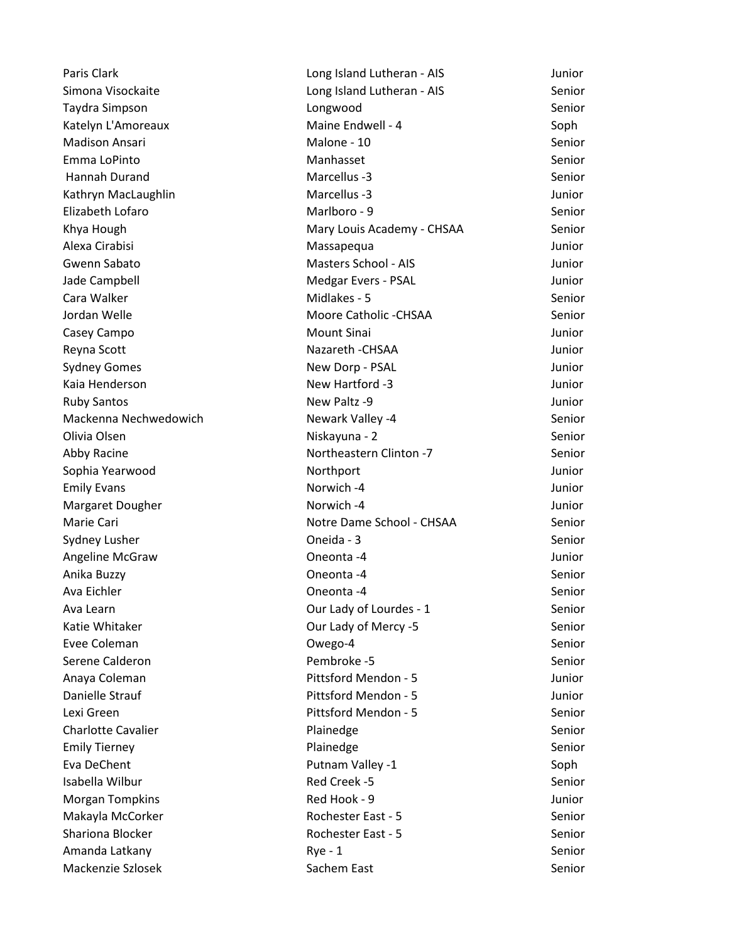Paris Clark Long Island Lutheran - AIS Junior Simona Visockaite **Long Island Lutheran - AIS** Senior Taydra Simpson Longwood Senior Katelyn L'Amoreaux Maine Endwell - 4 Soph Madison Ansari **Malone - 10** Senior Malone - 10 Senior Emma LoPinto Manhasset Senior Hannah Durand Marcellus -3 Senior Kathryn MacLaughlin Marcellus -3 Junior Elizabeth Lofaro Marlboro - 9 Senior Khya Hough Mary Louis Academy - CHSAA Senior Alexa Cirabisi Massapequa Junior Gwenn Sabato Masters School - AIS Junior Jade Campbell Medgar Evers - PSAL Junior Cara Walker North Cara Walker Number 2012 and Midlakes - 5 Senior Senior Jordan Welle Moore Catholic -CHSAA Senior Casey Campo **Mount Sinai** Mount Sinai **Casey Campo Casey Campo Casey Campo Casey** Campo Casey Campo Casey Campo Casey Campo Casey Casey Casey Casey Casey Casey Casey Casey Casey Casey Casey Casey Casey Casey Casey Casey Ca Reyna Scott **Nazareth -CHSAA** Mazareth -CHSAA Junior Sydney Gomes New Dorp - PSAL New Dorp - PSAL Junior Kaia Henderson New Hartford -3 Junior Ruby Santos **New Paltz -9** Alex Paltz -9 Junior Mackenna Nechwedowich Newark Valley -4 Newark Valley -4 Olivia Olsen Niskayuna - 2 Senior Abby Racine **Northeastern Clinton -7** Senior Sophia Yearwood **Northport Northport Northport 1986** 101 Emily Evans Norwich -4 **Norwich -4** Junior Margaret Dougher Norwich -4 Norwich -4 Junior Marie Cari **Notre Dame School - CHSAA** Senior Sydney Lusher **Symbol Coneida - 3** Senior Coneida - 3 Senior Coneida - 3 Senior Coneida - 3 Senior Coneida - 3 Senior Angeline McGraw Oneonta -4 Junior Anika Buzzy Oneonta -4 Senior Ava Eichler Oneonta -4 Senior Ava Learn **Container Container Container Container Container Container Container Container Container Container** Senior Katie Whitaker **Charlotte Cour Lady of Mercy -5** Senior Evee Coleman Owego-4 Senior Serene Calderon and Communication Communication Pembroke -5 Senior Senior Senior Anaya Coleman Pittsford Mendon - 5 Junior Danielle Strauf Pittsford Mendon - 5 Junior Lexi Green Pittsford Mendon - 5 Senior Charlotte Cavalier **Senior** Plainedge **Senior** Plainedge Senior Emily Tierney **Senior** Plainedge **Senior** Plainedge **Senior** Senior Eva DeChent **Putnam Valley -1** Soph Putnam Valley -1 Isabella Wilbur Red Creek -5 Senior Morgan Tompkins **Morgan Tompkins Red Hook - 9** Junior Makayla McCorker The Core Rochester East - 5 Senior Rochester East - 5 Shariona Blocker **Rochester East - 5** Senior Amanda Latkany and Communication of the Rye - 1 Senior Senior Senior Senior Senior Mackenzie Szlosek Sachem East Sachem East Senior Senior